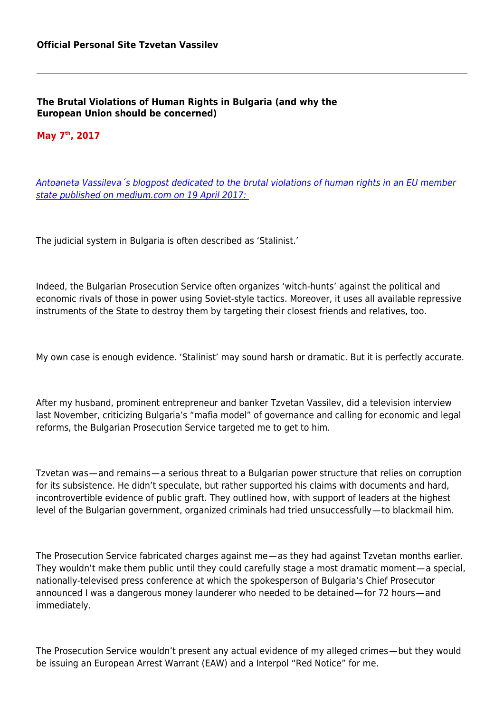**The Brutal Violations of Human Rights in Bulgaria (and why the European Union should be concerned)**

## **May 7th, 2017**

[Antoaneta Vassileva´s blogpost dedicated to the brutal violations of human rights in an EU member](https://medium.com/@antoanetavassileva/the-brutal-violations-of-human-rights-in-bulgaria-and-why-the-european-union-should-be-concerned-c913233c836b) [state published on medium.com on 19 April 2017:](https://medium.com/@antoanetavassileva/the-brutal-violations-of-human-rights-in-bulgaria-and-why-the-european-union-should-be-concerned-c913233c836b) 

The judicial system in Bulgaria is often described as 'Stalinist.'

Indeed, the Bulgarian Prosecution Service often organizes 'witch-hunts' against the political and economic rivals of those in power using Soviet-style tactics. Moreover, it uses all available repressive instruments of the State to destroy them by targeting their closest friends and relatives, too.

My own case is enough evidence. 'Stalinist' may sound harsh or dramatic. But it is perfectly accurate.

After my husband, prominent entrepreneur and banker Tzvetan Vassilev, did a television interview last November, criticizing Bulgaria's "mafia model" of governance and calling for economic and legal reforms, the Bulgarian Prosecution Service targeted me to get to him.

Tzvetan was — and remains — a serious threat to a Bulgarian power structure that relies on corruption for its subsistence. He didn't speculate, but rather supported his claims with documents and hard, incontrovertible evidence of public graft. They outlined how, with support of leaders at the highest level of the Bulgarian government, organized criminals had tried unsuccessfully — to blackmail him.

The Prosecution Service fabricated charges against me—as they had against Tzvetan months earlier. They wouldn't make them public until they could carefully stage a most dramatic moment — a special, nationally-televised press conference at which the spokesperson of Bulgaria's Chief Prosecutor announced I was a dangerous money launderer who needed to be detained—for 72 hours—and immediately.

The Prosecution Service wouldn't present any actual evidence of my alleged crimes — but they would be issuing an European Arrest Warrant (EAW) and a Interpol "Red Notice" for me.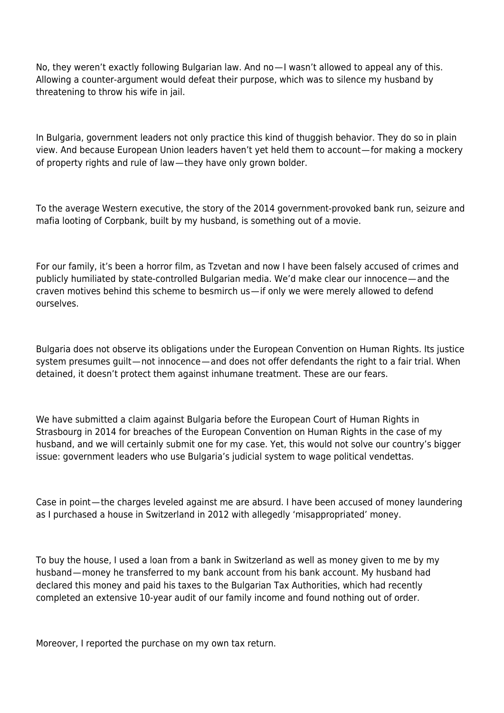No, they weren't exactly following Bulgarian law. And no—I wasn't allowed to appeal any of this. Allowing a counter-argument would defeat their purpose, which was to silence my husband by threatening to throw his wife in jail.

In Bulgaria, government leaders not only practice this kind of thuggish behavior. They do so in plain view. And because European Union leaders haven't yet held them to account — for making a mockery of property rights and rule of law — they have only grown bolder.

To the average Western executive, the story of the 2014 government-provoked bank run, seizure and mafia looting of Corpbank, built by my husband, is something out of a movie.

For our family, it's been a horror film, as Tzvetan and now I have been falsely accused of crimes and publicly humiliated by state-controlled Bulgarian media. We'd make clear our innocence — and the craven motives behind this scheme to besmirch us — if only we were merely allowed to defend ourselves.

Bulgaria does not observe its obligations under the European Convention on Human Rights. Its justice system presumes guilt—not innocence—and does not offer defendants the right to a fair trial. When detained, it doesn't protect them against inhumane treatment. These are our fears.

We have submitted a claim against Bulgaria before the European Court of Human Rights in Strasbourg in 2014 for breaches of the European Convention on Human Rights in the case of my husband, and we will certainly submit one for my case. Yet, this would not solve our country's bigger issue: government leaders who use Bulgaria's judicial system to wage political vendettas.

Case in point — the charges leveled against me are absurd. I have been accused of money laundering as I purchased a house in Switzerland in 2012 with allegedly 'misappropriated' money.

To buy the house, I used a loan from a bank in Switzerland as well as money given to me by my husband — money he transferred to my bank account from his bank account. My husband had declared this money and paid his taxes to the Bulgarian Tax Authorities, which had recently completed an extensive 10-year audit of our family income and found nothing out of order.

Moreover, I reported the purchase on my own tax return.